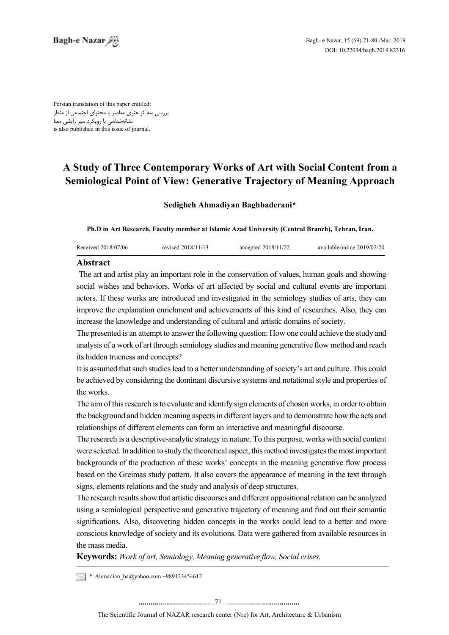Persian translation of this paper entitled: بررسی سه اثر هنری معاصر با محتوای اجتماعی از منظر نشانهشناسی با رویکرد سیر زایشی معنا is also published in this issue of journal.

# **A Study of Three Contemporary Works of Art with Social Content from a Semiological Point of View: Generative Trajectory of Meaning Approach**

## **Sedigheh Ahmadiyan Baghbaderani\***

Ph.D in Art Research, Faculty member at Islamic Azad University (Central Branch), Tehran, Iran.

| Received 2018/07/06 | revised 2018/11/13 | accepted 2018/11/22 | available online 2019/02/20 |
|---------------------|--------------------|---------------------|-----------------------------|
|                     |                    |                     |                             |

## **Abstract**

The art and artist play an important role in the conservation of values, human goals and showing social wishes and behaviors. Works of art affected by social and cultural events are important actors. If these works are introduced and investigated in the semiology studies of arts, they can improve the explanation enrichment and achievements of this kind of researches. Also, they can increase the knowledge and understanding of cultural and artistic domains of society.

The presented is an attempt to answer the following question: How one could achieve the study and analysis of a work of art through semiology studies and meaning generative flow method and reach its hidden trueness and concepts?

It is assumed that such studies lead to a better understanding of society's art and culture. This could be achieved by considering the dominant discursive systems and notational style and properties of the works

The aim of this research is to evaluate and identify sign elements of chosen works, in order to obtain the background and hidden meaning aspects in different layers and to demonstrate how the acts and relationships of different elements can form an interactive and meaningful discourse.

The research is a descriptive-analytic strategy in nature. To this purpose, works with social content were selected. In addition to study the theoretical aspect, this method investigates the most important backgrounds of the production of these works' concepts in the meaning generative flow process based on the Greimas study pattern. It also covers the appearance of meaning in the text through signs, elements relations and the study and analysis of deep structures.

The research results show that artistic discourses and different oppositional relation can be analyzed using a semiological perspective and generative trajectory of meaning and find out their semantic significations. Also, discovering hidden concepts in the works could lead to a better and more conscious knowledge of society and its evolutions. Data were gathered from available resources in the mass media.

**Keywords:** Work of art, Semiology, Meaning generative flow, Social crises.

 $\leq$  \*. Ahmadian\_ba@yahoo.com +989123454612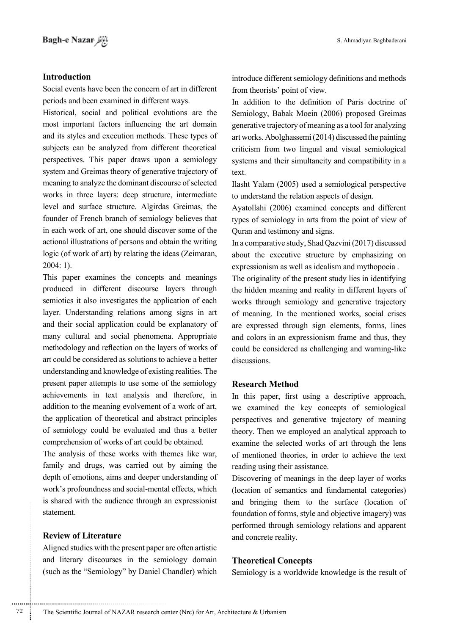## **Introduction**

Social events have been the concern of art in different periods and been examined in different ways.

Historical, social and political evolutions are the most important factors influencing the art domain and its styles and execution methods. These types of subjects can be analyzed from different theoretical perspectives. This paper draws upon a semiology system and Greimas theory of generative trajectory of meaning to analyze the dominant discourse of selected works in three layers: deep structure, intermediate level and surface structure. Algirdas Greimas, the founder of French branch of semiology believes that in each work of art, one should discover some of the actional illustrations of persons and obtain the writing logic (of work of art) by relating the ideas (Zeimaran,  $2004:1$ ).

This paper examines the concepts and meanings produced in different discourse layers through semiotics it also investigates the application of each layer. Understanding relations among signs in art and their social application could be explanatory of many cultural and social phenomena. Appropriate methodology and reflection on the layers of works of art could be considered as solutions to achieve a better understanding and knowledge of existing realities. The present paper attempts to use some of the semiology achievements in text analysis and therefore, in addition to the meaning evolvement of a work of art, the application of theoretical and abstract principles of semiology could be evaluated and thus a better comprehension of works of art could be obtained.

The analysis of these works with themes like war, family and drugs, was carried out by aiming the depth of emotions, aims and deeper understanding of work's profoundness and social-mental effects, which is shared with the audience through an expressionist .statement

## **Review of Literature**

Aligned studies with the present paper are often artistic and literary discourses in the semiology domain (such as the "Semiology" by Daniel Chandler) which introduce different semiology definitions and methods from theorists' point of view.

In addition to the definition of Paris doctrine of Semiology, Babak Moein (2006) proposed Greimas generative trajectory of meaning as a tool for analyzing art works. Abolghassemi  $(2014)$  discussed the painting criticism from two lingual and visual semiological systems and their simultaneity and compatibility in a text.

Ilasht Yalam (2005) used a semiological perspective to understand the relation aspects of design.

Ayatollahi (2006) examined concepts and different types of semiology in arts from the point of view of Quran and testimony and signs.

In a comparative study, Shad Qazvini (2017) discussed about the executive structure by emphasizing on expressionism as well as idealism and mythopoeia.

The originality of the present study lies in identifying the hidden meaning and reality in different layers of works through semiology and generative trajectory of meaning. In the mentioned works, social crises are expressed through sign elements, forms, lines and colors in an expressionism frame and thus, they could be considered as challenging and warning-like .discussions

## **Research Method**

In this paper, first using a descriptive approach, we examined the key concepts of semiological perspectives and generative trajectory of meaning theory. Then we employed an analytical approach to examine the selected works of art through the lens of mentioned theories, in order to achieve the text reading using their assistance.

Discovering of meanings in the deep layer of works (location of semantics and fundamental categories) and bringing them to the surface (location of foundation of forms, style and objective imagery) was performed through semiology relations and apparent and concrete reality.

## **Concepts Theoretical**

Semiology is a worldwide knowledge is the result of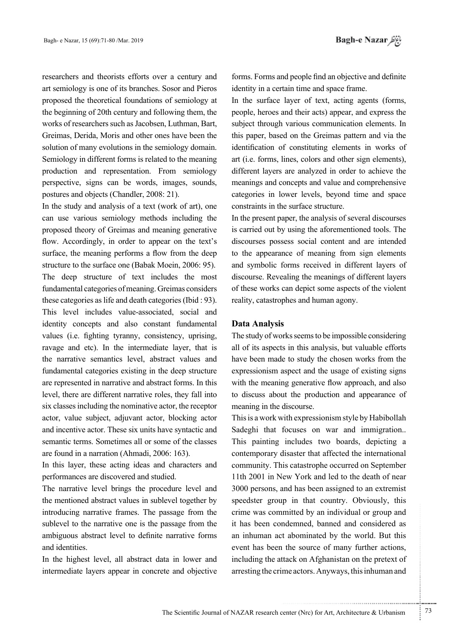researchers and theorists efforts over a century and art semiology is one of its branches. Sosor and Pieros proposed the theoretical foundations of semiology at the beginning of 20th century and following them, the works of researchers such as Jacobsen, Luthman, Bart, Greimas, Derida, Moris and other ones have been the solution of many evolutions in the semiology domain. Semiology in different forms is related to the meaning production and representation. From semiology perspective, signs can be words, images, sounds, postures and objects (Chandler, 2008: 21).

In the study and analysis of a text (work of art), one can use various semiology methods including the proposed theory of Greimas and meaning generative flow. Accordingly, in order to appear on the text's surface, the meaning performs a flow from the deep structure to the surface one (Babak Moein,  $2006: 95$ ). The deep structure of text includes the most fundamental categories of meaning. Greimas considers these categories as life and death categories (Ibid  $: 93$ ). This level includes value-associated, social and identity concepts and also constant fundamental values (i.e. fighting tyranny, consistency, uprising, ravage and etc). In the intermediate layer, that is the narrative semantics level, abstract values and fundamental categories existing in the deep structure are represented in narrative and abstract forms. In this level, there are different narrative roles, they fall into six classes including the nominative actor, the receptor actor, value subject, adjuvant actor, blocking actor and incentive actor. These six units have syntactic and semantic terms. Sometimes all or some of the classes are found in a narration (Ahmadi, 2006: 163).

In this layer, these acting ideas and characters and performances are discovered and studied.

The narrative level brings the procedure level and the mentioned abstract values in sublevel together by introducing narrative frames. The passage from the sublevel to the narrative one is the passage from the ambiguous abstract level to definite narrative forms and identities.

In the highest level, all abstract data in lower and intermediate layers appear in concrete and objective forms. Forms and people find an objective and definite identity in a certain time and space frame.

In the surface layer of text, acting agents (forms, people, heroes and their acts) appear, and express the subject through various communication elements. In this paper, based on the Greimas pattern and via the identification of constituting elements in works of art (i.e. forms, lines, colors and other sign elements), different layers are analyzed in order to achieve the meanings and concepts and value and comprehensive categories in lower levels, beyond time and space constraints in the surface structure.

In the present paper, the analysis of several discourses is carried out by using the aforementioned tools. The discourses possess social content and are intended to the appearance of meaning from sign elements and symbolic forms received in different layers of discourse. Revealing the meanings of different layers. of these works can depict some aspects of the violent reality, catastrophes and human agony.

#### **Data Analysis**

The study of works seems to be impossible considering all of its aspects in this analysis, but valuable efforts have been made to study the chosen works from the expressionism aspect and the usage of existing signs with the meaning generative flow approach, and also to discuss about the production and appearance of meaning in the discourse.

This is a work with expressionism style by Habibollah Sadeghi that focuses on war and immigration... This painting includes two boards, depicting a contemporary disaster that affected the international community. This catastrophe occurred on September 11th 2001 in New York and led to the death of near 3000 persons, and has been assigned to an extremist speedster group in that country. Obviously, this crime was committed by an individual or group and it has been condemned, banned and considered as an inhuman act abominated by the world. But this event has been the source of many further actions, including the attack on Afghanistan on the pretext of arresting the crime actors. Anyways, this inhuman and

.......... ....... ........ ........... ...... ....... ........ .......... ...........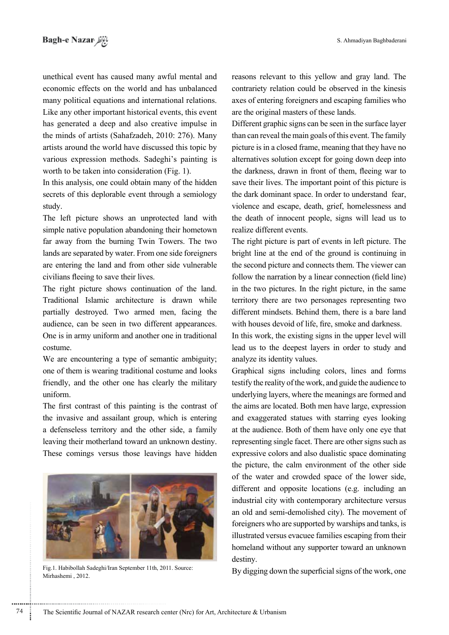unethical event has caused many awful mental and economic effects on the world and has unbalanced many political equations and international relations. Like any other important historical events, this event has generated a deep and also creative impulse in the minds of artists (Sahafzadeh, 2010: 276). Many artists around the world have discussed this topic by various expression methods. Sadeghi's painting is worth to be taken into consideration  $(Fig. 1)$ .

In this analysis, one could obtain many of the hidden secrets of this deplorable event through a semiology study.

The left picture shows an unprotected land with simple native population abandoning their hometown far away from the burning Twin Towers. The two lands are separated by water. From one side foreigners are entering the land and from other side vulnerable civilians fleeing to save their lives.

The right picture shows continuation of the land. Traditional Islamic architecture is drawn while partially destroyed. Two armed men, facing the audience, can be seen in two different appearances. One is in army uniform and another one in traditional .costume

We are encountering a type of semantic ambiguity; one of them is wearing traditional costume and looks friendly, and the other one has clearly the military .uniform

The first contrast of this painting is the contrast of the invasive and assailant group, which is entering a defenseless territory and the other side, a family leaving their motherland toward an unknown destiny. These comings versus those leavings have hidden



Fig.1. Habibollah Sadeghi/Iran September 11th, 2011. Source: By digging down the superficial signs of the work, one Mirhashemi, 2012.

reasons relevant to this yellow and gray land. The contrariety relation could be observed in the kinesis axes of entering foreigners and escaping families who are the original masters of these lands.

Different graphic signs can be seen in the surface layer than can reveal the main goals of this event. The family picture is in a closed frame, meaning that they have no alternatives solution except for going down deep into the darkness, drawn in front of them, fleeing war to save their lives. The important point of this picture is the dark dominant space. In order to understand fear, violence and escape, death, grief, homelessness and the death of innocent people, signs will lead us to realize different events.

The right picture is part of events in left picture. The bright line at the end of the ground is continuing in the second picture and connects them. The viewer can follow the narration by a linear connection (field line) in the two pictures. In the right picture, in the same territory there are two personages representing two different mindsets. Behind them, there is a bare land with houses devoid of life, fire, smoke and darkness.

In this work, the existing signs in the upper level will lead us to the deepest layers in order to study and analyze its identity values.

Graphical signs including colors, lines and forms testify the reality of the work, and guide the audience to underlying layers, where the meanings are formed and the aims are located. Both men have large, expression and exaggerated statues with starring eyes looking at the audience. Both of them have only one eye that representing single facet. There are other signs such as expressive colors and also dualistic space dominating the picture, the calm environment of the other side of the water and crowded space of the lower side, different and opposite locations (e.g. including an industrial city with contemporary architecture versus an old and semi-demolished city). The movement of foreigners who are supported by warships and tanks, is illustrated versus evacuee families escaping from their homeland without any supporter toward an unknown destiny.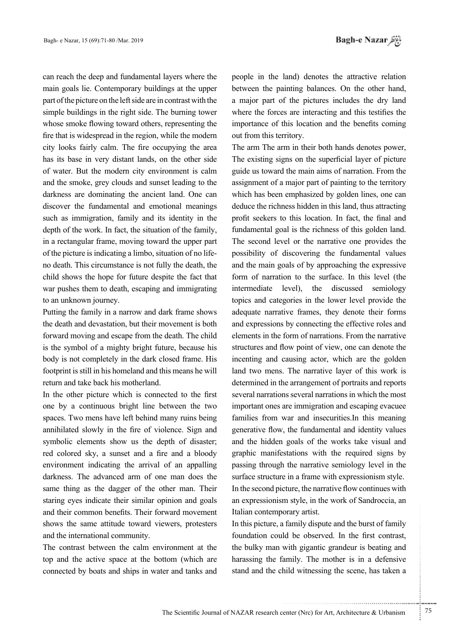can reach the deep and fundamental layers where the main goals lie. Contemporary buildings at the upper part of the picture on the left side are in contrast with the simple buildings in the right side. The burning tower whose smoke flowing toward others, representing the fire that is widespread in the region, while the modern city looks fairly calm. The fire occupying the area has its base in very distant lands, on the other side of water. But the modern city environment is calm and the smoke, grey clouds and sunset leading to the darkness are dominating the ancient land. One can discover the fundamental and emotional meanings such as immigration, family and its identity in the depth of the work. In fact, the situation of the family, in a rectangular frame, moving toward the upper part the death. This circumstance is not fully the death, the of the picture is indicating a limbo, situation of no lifechild shows the hope for future despite the fact that war pushes them to death, escaping and immigrating to an unknown journey.

Putting the family in a narrow and dark frame shows the death and devastation, but their movement is both forward moving and escape from the death. The child is the symbol of a mighty bright future, because his body is not completely in the dark closed frame. His footprint is still in his homeland and this means he will return and take back his motherland.

In the other picture which is connected to the first one by a continuous bright line between the two spaces. Two mens have left behind many ruins being annihilated slowly in the fire of violence. Sign and symbolic elements show us the depth of disaster; red colored sky, a sunset and a fire and a bloody environment indicating the arrival of an appalling darkness. The advanced arm of one man does the same thing as the dagger of the other man. Their staring eyes indicate their similar opinion and goals and their common benefits. Their forward movement shows the same attitude toward viewers, protesters and the international community.

The contrast between the calm environment at the top and the active space at the bottom (which are connected by boats and ships in water and tanks and people in the land) denotes the attractive relation between the painting balances. On the other hand, a major part of the pictures includes the dry land where the forces are interacting and this testifies the importance of this location and the benefits coming out from this territory.

The arm The arm in their both hands denotes power, The existing signs on the superficial layer of picture guide us toward the main aims of narration. From the assignment of a major part of painting to the territory which has been emphasized by golden lines, one can deduce the richness hidden in this land, thus attracting profit seekers to this location. In fact, the final and fundamental goal is the richness of this golden land. The second level or the narrative one provides the possibility of discovering the fundamental values and the main goals of by approaching the expressive form of narration to the surface. In this level (the intermediate level), the discussed semiology topics and categories in the lower level provide the adequate narrative frames, they denote their forms and expressions by connecting the effective roles and elements in the form of narrations. From the narrative structures and flow point of view, one can denote the incenting and causing actor, which are the golden land two mens. The narrative layer of this work is determined in the arrangement of portraits and reports several narrations several narrations in which the most important ones are immigration and escaping evacuee families from war and insecurities. In this meaning generative flow, the fundamental and identity values and the hidden goals of the works take visual and graphic manifestations with the required signs by passing through the narrative semiology level in the surface structure in a frame with expressionism style. In the second picture, the narrative flow continues with an expressionism style, in the work of Sandroccia, an Italian contemporary artist.

In this picture, a family dispute and the burst of family foundation could be observed. In the first contrast, the bulky man with gigantic grandeur is beating and harassing the family. The mother is in a defensive stand and the child witnessing the scene, has taken a

.......... ....... ........ ........... ...... ....... ........ .......... ...........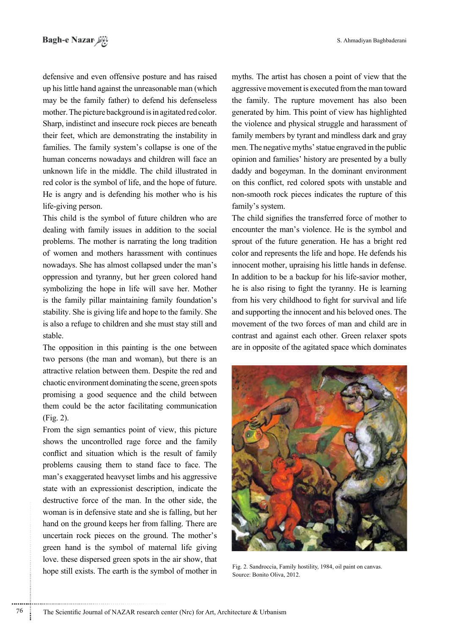defensive and even offensive posture and has raised up his little hand against the unreasonable man (which may be the family father) to defend his defenseless mother. The picture background is in agitated red color. Sharp, indistinct and insecure rock pieces are beneath their feet, which are demonstrating the instability in families. The family system's collapse is one of the human concerns nowadays and children will face an unknown life in the middle. The child illustrated in red color is the symbol of life, and the hope of future. He is angry and is defending his mother who is his life-giving person.

This child is the symbol of future children who are dealing with family issues in addition to the social problems. The mother is narrating the long tradition of women and mothers harassment with continues nowadays. She has almost collapsed under the man's oppression and tyranny, but her green colored hand symbolizing the hope in life will save her. Mother is the family pillar maintaining family foundation's stability. She is giving life and hope to the family. She is also a refuge to children and she must stay still and .stable

The opposition in this painting is the one between two persons (the man and woman), but there is an attractive relation between them. Despite the red and chaotic environment dominating the scene, green spots promising a good sequence and the child between them could be the actor facilitating communication  $(Fig. 2)$ .

From the sign semantics point of view, this picture shows the uncontrolled rage force and the family conflict and situation which is the result of family problems causing them to stand face to face. The man's exaggerated heavyset limbs and his aggressive state with an expressionist description, indicate the destructive force of the man. In the other side, the woman is in defensive state and she is falling, but her hand on the ground keeps her from falling. There are uncertain rock pieces on the ground. The mother's green hand is the symbol of maternal life giving love, these dispersed green spots in the air show, that hope still exists. The earth is the symbol of mother in myths. The artist has chosen a point of view that the aggressive movement is executed from the man toward the family. The rupture movement has also been generated by him. This point of view has highlighted the violence and physical struggle and harassment of family members by tyrant and mindless dark and gray men. The negative myths' statue engraved in the public opinion and families' history are presented by a bully daddy and bogeyman. In the dominant environment on this conflict, red colored spots with unstable and non-smooth rock pieces indicates the rupture of this family's system.

The child signifies the transferred force of mother to encounter the man's violence. He is the symbol and sprout of the future generation. He has a bright red color and represents the life and hope. He defends his innocent mother, upraising his little hands in defense. In addition to be a backup for his life-savior mother, he is also rising to fight the tyranny. He is learning from his very childhood to fight for survival and life and supporting the innocent and his beloved ones. The movement of the two forces of man and child are in contrast and against each other. Green relaxer spots are in opposite of the agitated space which dominates



Fig. 2. Sandroccia, Family hostility, 1984, oil paint on canvas. Source: Bonito Oliva, 2012.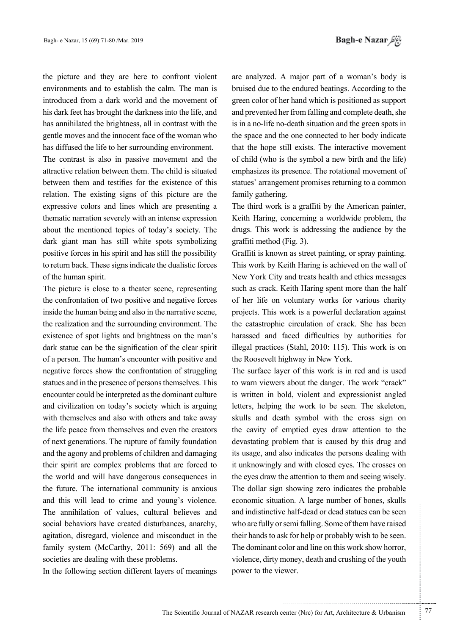the picture and they are here to confront violent environments and to establish the calm. The man is introduced from a dark world and the movement of his dark feet has brought the darkness into the life, and has annihilated the brightness, all in contrast with the gentle moves and the innocent face of the woman who has diffused the life to her surrounding environment.

The contrast is also in passive movement and the attractive relation between them. The child is situated between them and testifies for the existence of this relation. The existing signs of this picture are the expressive colors and lines which are presenting a thematic narration severely with an intense expression about the mentioned topics of today's society. The dark giant man has still white spots symbolizing positive forces in his spirit and has still the possibility to return back. These signs indicate the dualistic forces of the human spirit.

The picture is close to a theater scene, representing the confrontation of two positive and negative forces inside the human being and also in the narrative scene, the realization and the surrounding environment. The existence of spot lights and brightness on the man's dark statue can be the signification of the clear spirit of a person. The human's encounter with positive and negative forces show the confrontation of struggling statues and in the presence of persons themselves. This encounter could be interpreted as the dominant culture and civilization on today's society which is arguing with themselves and also with others and take away the life peace from themselves and even the creators of next generations. The rupture of family foundation and the agony and problems of children and damaging their spirit are complex problems that are forced to the world and will have dangerous consequences in the future. The international community is anxious and this will lead to crime and young's violence. The annihilation of values, cultural believes and social behaviors have created disturbances, anarchy, agitation, disregard, violence and misconduct in the family system (McCarthy,  $2011: 569$ ) and all the societies are dealing with these problems.

In the following section different layers of meanings

are analyzed. A major part of a woman's body is bruised due to the endured beatings. According to the green color of her hand which is positioned as support and prevented her from falling and complete death, she is in a no-life no-death situation and the green spots in the space and the one connected to her body indicate that the hope still exists. The interactive movement of child (who is the symbol a new birth and the life) emphasizes its presence. The rotational movement of statues' arrangement promises returning to a common family gathering.

The third work is a graffiti by the American painter, Keith Haring, concerning a worldwide problem, the drugs. This work is addressing the audience by the  $graffiti$  method (Fig. 3).

Graffiti is known as street painting, or spray painting. This work by Keith Haring is achieved on the wall of New York City and treats health and ethics messages such as crack. Keith Haring spent more than the half of her life on voluntary works for various charity projects. This work is a powerful declaration against the catastrophic circulation of crack. She has been harassed and faced difficulties by authorities for illegal practices (Stahl,  $2010$ : 115). This work is on the Roosevelt highway in New York.

The surface layer of this work is in red and is used to warn viewers about the danger. The work "crack" is written in bold, violent and expressionist angled letters, helping the work to be seen. The skeleton, skulls and death symbol with the cross sign on the cavity of emptied eyes draw attention to the devastating problem that is caused by this drug and its usage, and also indicates the persons dealing with it unknowingly and with closed eyes. The crosses on the eyes draw the attention to them and seeing wisely. The dollar sign showing zero indicates the probable economic situation. A large number of bones, skulls and indistinctive half-dead or dead statues can be seen who are fully or semi falling. Some of them have raised their hands to ask for help or probably wish to be seen. The dominant color and line on this work show horror, violence, dirty money, death and crushing of the youth power to the viewer.

.......... ....... ........ ........... ...... ....... ........ .......... ...........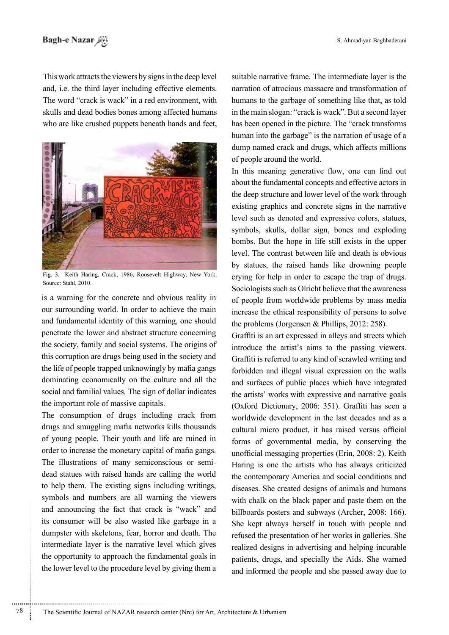This work attracts the viewers by signs in the deep level and, i.e. the third layer including effective elements. The word "crack is wack" in a red environment, with skulls and dead bodies bones among affected humans who are like crushed puppets beneath hands and feet,



Fig. 3. Keith Haring, Crack, 1986, Roosevelt Highway, New York. Source: Stahl, 2010.

is a warning for the concrete and obvious reality in our surrounding world. In order to achieve the main and fundamental identity of this warning, one should penetrate the lower and abstract structure concerning the society, family and social systems. The origins of this corruption are drugs being used in the society and the life of people trapped unknowingly by mafia gangs dominating economically on the culture and all the social and familial values. The sign of dollar indicates the important role of massive capitals.

The consumption of drugs including crack from drugs and smuggling mafia networks kills thousands of young people. Their youth and life are ruined in order to increase the monetary capital of mafia gangs. dead statues with raised hands are calling the world The illustrations of many semiconscious or semito help them. The existing signs including writings, symbols and numbers are all warning the viewers and announcing the fact that crack is "wack" and its consumer will be also wasted like garbage in a dumpster with skeletons, fear, horror and death. The intermediate layer is the narrative level which gives the opportunity to approach the fundamental goals in the lower level to the procedure level by giving them a

............................................................

suitable narrative frame. The intermediate layer is the narration of atrocious massacre and transformation of humans to the garbage of something like that, as told in the main slogan: "crack is wack". But a second layer has been opened in the picture. The "crack transforms" human into the garbage" is the narration of usage of a dump named crack and drugs, which affects millions of people around the world.

In this meaning generative flow, one can find out about the fundamental concepts and effective actors in the deep structure and lower level of the work through existing graphics and concrete signs in the narrative level such as denoted and expressive colors, statues, symbols, skulls, dollar sign, bones and exploding bombs. But the hope in life still exists in the upper level. The contrast between life and death is obvious by statues, the raised hands like drowning people crying for help in order to escape the trap of drugs. Sociologists such as Olricht believe that the awareness of people from worldwide problems by mass media increase the ethical responsibility of persons to solve the problems (Jorgensen  $&$  Phillips, 2012: 258).

Graffiti is an art expressed in alleys and streets which introduce the artist's aims to the passing viewers. Graffiti is referred to any kind of scrawled writing and forbidden and illegal visual expression on the walls and surfaces of public places which have integrated the artists' works with expressive and narrative goals (Oxford Dictionary, 2006: 351). Graffiti has seen a worldwide development in the last decades and as a cultural micro product, it has raised versus official forms of governmental media, by conserving the unofficial messaging properties (Erin, 2008: 2). Keith Haring is one the artists who has always criticized the contemporary America and social conditions and diseases. She created designs of animals and humans with chalk on the black paper and paste them on the billboards posters and subways (Archer, 2008: 166). She kept always herself in touch with people and refused the presentation of her works in galleries. She realized designs in advertising and helping incurable patients, drugs, and specially the Aids. She warned and informed the people and she passed away due to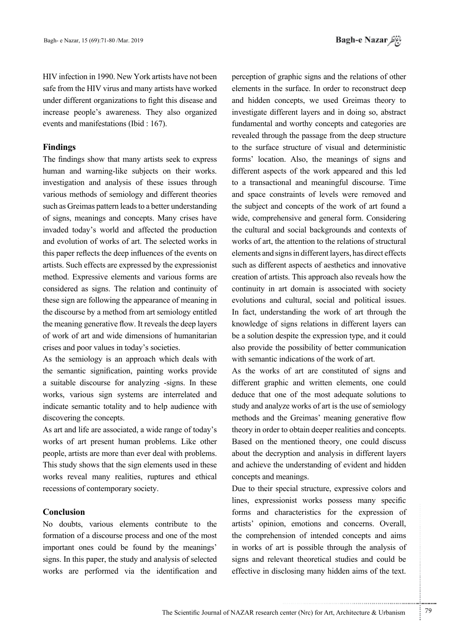HIV infection in 1990. New York artists have not been safe from the HIV virus and many artists have worked under different organizations to fight this disease and increase people's awareness. They also organized events and manifestations (Ibid  $: 167$ ).

## **Findings**

The findings show that many artists seek to express human and warning-like subjects on their works. investigation and analysis of these issues through various methods of semiology and different theories such as Greimas pattern leads to a better understanding of signs, meanings and concepts. Many crises have invaded today's world and affected the production and evolution of works of art. The selected works in this paper reflects the deep influences of the events on artists. Such effects are expressed by the expressionist method. Expressive elements and various forms are considered as signs. The relation and continuity of these sign are following the appearance of meaning in the discourse by a method from art semiology entitled the meaning generative flow. It reveals the deep layers of work of art and wide dimensions of humanitarian crises and poor values in today's societies.

As the semiology is an approach which deals with the semantic signification, painting works provide a suitable discourse for analyzing -signs. In these works, various sign systems are interrelated and indicate semantic totality and to help audience with discovering the concepts.

As art and life are associated, a wide range of today's works of art present human problems. Like other people, artists are more than ever deal with problems. This study shows that the sign elements used in these works reveal many realities, ruptures and ethical recessions of contemporary society.

### **Conclusion**

No doubts, various elements contribute to the formation of a discourse process and one of the most important ones could be found by the meanings' signs. In this paper, the study and analysis of selected works are performed via the identification and

perception of graphic signs and the relations of other elements in the surface. In order to reconstruct deep and hidden concepts, we used Greimas theory to investigate different layers and in doing so, abstract fundamental and worthy concepts and categories are revealed through the passage from the deep structure to the surface structure of visual and deterministic forms' location. Also, the meanings of signs and different aspects of the work appeared and this led to a transactional and meaningful discourse. Time and space constraints of levels were removed and the subject and concepts of the work of art found a wide, comprehensive and general form. Considering the cultural and social backgrounds and contexts of works of art, the attention to the relations of structural elements and signs in different layers, has direct effects such as different aspects of aesthetics and innovative creation of artists. This approach also reveals how the continuity in art domain is associated with society evolutions and cultural, social and political issues. In fact, understanding the work of art through the knowledge of signs relations in different layers can be a solution despite the expression type, and it could also provide the possibility of better communication with semantic indications of the work of art.

As the works of art are constituted of signs and different graphic and written elements, one could deduce that one of the most adequate solutions to study and analyze works of art is the use of semiology methods and the Greimas' meaning generative flow theory in order to obtain deeper realities and concepts. Based on the mentioned theory, one could discuss about the decryption and analysis in different layers and achieve the understanding of evident and hidden concepts and meanings.

Due to their special structure, expressive colors and lines, expressionist works possess many specific forms and characteristics for the expression of artists' opinion, emotions and concerns. Overall, the comprehension of intended concepts and aims in works of art is possible through the analysis of signs and relevant theoretical studies and could be effective in disclosing many hidden aims of the text.

.......... ....... ........ ........... ...... ....... ........ .......... ...........